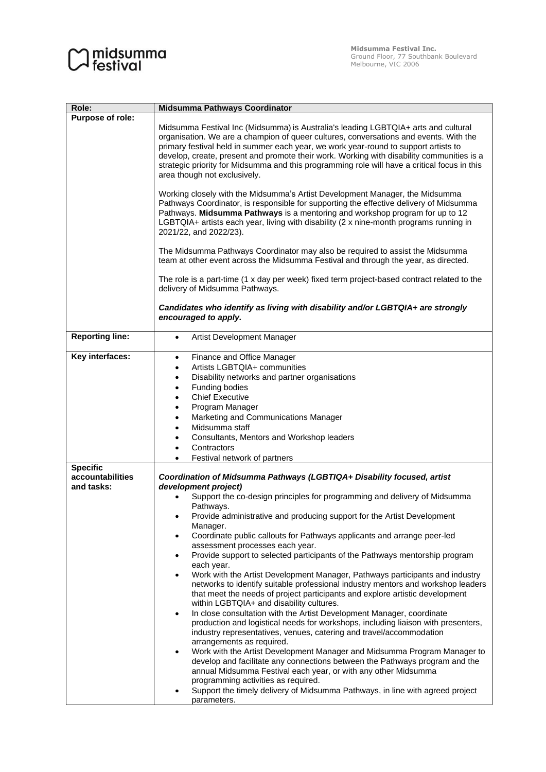## $\bigcirc$  midsumma

| Role:                  | Midsumma Pathways Coordinator                                                                                                                                                                                                                                                                                                                                                                                                                                                                   |
|------------------------|-------------------------------------------------------------------------------------------------------------------------------------------------------------------------------------------------------------------------------------------------------------------------------------------------------------------------------------------------------------------------------------------------------------------------------------------------------------------------------------------------|
| Purpose of role:       |                                                                                                                                                                                                                                                                                                                                                                                                                                                                                                 |
|                        | Midsumma Festival Inc (Midsumma) is Australia's leading LGBTQIA+ arts and cultural<br>organisation. We are a champion of queer cultures, conversations and events. With the<br>primary festival held in summer each year, we work year-round to support artists to<br>develop, create, present and promote their work. Working with disability communities is a<br>strategic priority for Midsumma and this programming role will have a critical focus in this<br>area though not exclusively. |
|                        | Working closely with the Midsumma's Artist Development Manager, the Midsumma<br>Pathways Coordinator, is responsible for supporting the effective delivery of Midsumma<br>Pathways. Midsumma Pathways is a mentoring and workshop program for up to 12<br>LGBTQIA+ artists each year, living with disability (2 x nine-month programs running in<br>2021/22, and 2022/23).                                                                                                                      |
|                        | The Midsumma Pathways Coordinator may also be required to assist the Midsumma<br>team at other event across the Midsumma Festival and through the year, as directed.                                                                                                                                                                                                                                                                                                                            |
|                        | The role is a part-time (1 x day per week) fixed term project-based contract related to the<br>delivery of Midsumma Pathways.                                                                                                                                                                                                                                                                                                                                                                   |
|                        | Candidates who identify as living with disability and/or LGBTQIA+ are strongly<br>encouraged to apply.                                                                                                                                                                                                                                                                                                                                                                                          |
| <b>Reporting line:</b> | Artist Development Manager<br>$\bullet$                                                                                                                                                                                                                                                                                                                                                                                                                                                         |
| Key interfaces:        | Finance and Office Manager<br>$\bullet$<br>Artists LGBTQIA+ communities<br>$\bullet$                                                                                                                                                                                                                                                                                                                                                                                                            |
|                        | Disability networks and partner organisations<br>$\bullet$                                                                                                                                                                                                                                                                                                                                                                                                                                      |
|                        | Funding bodies<br>$\bullet$                                                                                                                                                                                                                                                                                                                                                                                                                                                                     |
|                        | <b>Chief Executive</b><br>٠                                                                                                                                                                                                                                                                                                                                                                                                                                                                     |
|                        | Program Manager<br>٠                                                                                                                                                                                                                                                                                                                                                                                                                                                                            |
|                        | Marketing and Communications Manager<br>$\bullet$                                                                                                                                                                                                                                                                                                                                                                                                                                               |
|                        | Midsumma staff<br>$\bullet$                                                                                                                                                                                                                                                                                                                                                                                                                                                                     |
|                        | Consultants, Mentors and Workshop leaders<br>٠<br>Contractors                                                                                                                                                                                                                                                                                                                                                                                                                                   |
|                        | Festival network of partners                                                                                                                                                                                                                                                                                                                                                                                                                                                                    |
| <b>Specific</b>        |                                                                                                                                                                                                                                                                                                                                                                                                                                                                                                 |
| accountabilities       | Coordination of Midsumma Pathways (LGBTIQA+ Disability focused, artist                                                                                                                                                                                                                                                                                                                                                                                                                          |
| and tasks:             | development project)                                                                                                                                                                                                                                                                                                                                                                                                                                                                            |
|                        | Support the co-design principles for programming and delivery of Midsumma<br>Pathways.                                                                                                                                                                                                                                                                                                                                                                                                          |
|                        | Provide administrative and producing support for the Artist Development<br>٠<br>Manager.                                                                                                                                                                                                                                                                                                                                                                                                        |
|                        | Coordinate public callouts for Pathways applicants and arrange peer-led<br>٠<br>assessment processes each year.                                                                                                                                                                                                                                                                                                                                                                                 |
|                        | Provide support to selected participants of the Pathways mentorship program<br>$\bullet$                                                                                                                                                                                                                                                                                                                                                                                                        |
|                        | each year.<br>Work with the Artist Development Manager, Pathways participants and industry<br>$\bullet$                                                                                                                                                                                                                                                                                                                                                                                         |
|                        | networks to identify suitable professional industry mentors and workshop leaders<br>that meet the needs of project participants and explore artistic development                                                                                                                                                                                                                                                                                                                                |
|                        | within LGBTQIA+ and disability cultures.<br>In close consultation with the Artist Development Manager, coordinate<br>$\bullet$                                                                                                                                                                                                                                                                                                                                                                  |
|                        | production and logistical needs for workshops, including liaison with presenters,<br>industry representatives, venues, catering and travel/accommodation                                                                                                                                                                                                                                                                                                                                        |
|                        | arrangements as required.<br>Work with the Artist Development Manager and Midsumma Program Manager to<br>٠                                                                                                                                                                                                                                                                                                                                                                                      |
|                        | develop and facilitate any connections between the Pathways program and the<br>annual Midsumma Festival each year, or with any other Midsumma                                                                                                                                                                                                                                                                                                                                                   |
|                        | programming activities as required.                                                                                                                                                                                                                                                                                                                                                                                                                                                             |
|                        | Support the timely delivery of Midsumma Pathways, in line with agreed project<br>parameters.                                                                                                                                                                                                                                                                                                                                                                                                    |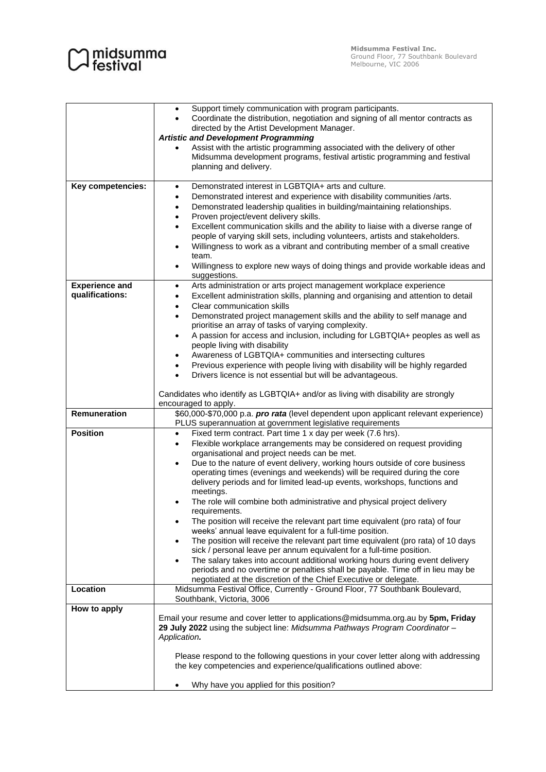| $\bigcirc$ midsumma<br>$\bigcirc$ festival |
|--------------------------------------------|

|                                            | Support timely communication with program participants.<br>$\bullet$<br>Coordinate the distribution, negotiation and signing of all mentor contracts as<br>directed by the Artist Development Manager.<br><b>Artistic and Development Programming</b><br>Assist with the artistic programming associated with the delivery of other<br>$\bullet$<br>Midsumma development programs, festival artistic programming and festival<br>planning and delivery.                                                                                                                                                                                                                                                                                                                                                                                                                                                                                                                                                                                                                                                                                                                   |
|--------------------------------------------|---------------------------------------------------------------------------------------------------------------------------------------------------------------------------------------------------------------------------------------------------------------------------------------------------------------------------------------------------------------------------------------------------------------------------------------------------------------------------------------------------------------------------------------------------------------------------------------------------------------------------------------------------------------------------------------------------------------------------------------------------------------------------------------------------------------------------------------------------------------------------------------------------------------------------------------------------------------------------------------------------------------------------------------------------------------------------------------------------------------------------------------------------------------------------|
| Key competencies:<br><b>Experience and</b> | Demonstrated interest in LGBTQIA+ arts and culture.<br>$\bullet$<br>Demonstrated interest and experience with disability communities /arts.<br>$\bullet$<br>Demonstrated leadership qualities in building/maintaining relationships.<br>٠<br>Proven project/event delivery skills.<br>$\bullet$<br>Excellent communication skills and the ability to liaise with a diverse range of<br>$\bullet$<br>people of varying skill sets, including volunteers, artists and stakeholders.<br>Willingness to work as a vibrant and contributing member of a small creative<br>$\bullet$<br>team.<br>Willingness to explore new ways of doing things and provide workable ideas and<br>$\bullet$<br>suggestions.<br>Arts administration or arts project management workplace experience<br>$\bullet$                                                                                                                                                                                                                                                                                                                                                                                |
| qualifications:                            | Excellent administration skills, planning and organising and attention to detail<br>$\bullet$<br>Clear communication skills<br>$\bullet$<br>Demonstrated project management skills and the ability to self manage and<br>$\bullet$<br>prioritise an array of tasks of varying complexity.<br>A passion for access and inclusion, including for LGBTQIA+ peoples as well as<br>$\bullet$<br>people living with disability<br>Awareness of LGBTQIA+ communities and intersecting cultures<br>$\bullet$<br>Previous experience with people living with disability will be highly regarded<br>Drivers licence is not essential but will be advantageous.<br>$\bullet$<br>Candidates who identify as LGBTQIA+ and/or as living with disability are strongly<br>encouraged to apply.                                                                                                                                                                                                                                                                                                                                                                                            |
| Remuneration                               | \$60,000-\$70,000 p.a. pro rata (level dependent upon applicant relevant experience)<br>PLUS superannuation at government legislative requirements                                                                                                                                                                                                                                                                                                                                                                                                                                                                                                                                                                                                                                                                                                                                                                                                                                                                                                                                                                                                                        |
| <b>Position</b>                            | Fixed term contract. Part time 1 x day per week (7.6 hrs).<br>$\bullet$<br>Flexible workplace arrangements may be considered on request providing<br>$\bullet$<br>organisational and project needs can be met.<br>Due to the nature of event delivery, working hours outside of core business<br>$\bullet$<br>operating times (evenings and weekends) will be required during the core<br>delivery periods and for limited lead-up events, workshops, functions and<br>meetings.<br>The role will combine both administrative and physical project delivery<br>$\bullet$<br>reauirements.<br>The position will receive the relevant part time equivalent (pro rata) of four<br>٠<br>weeks' annual leave equivalent for a full-time position.<br>The position will receive the relevant part time equivalent (pro rata) of 10 days<br>$\bullet$<br>sick / personal leave per annum equivalent for a full-time position.<br>The salary takes into account additional working hours during event delivery<br>$\bullet$<br>periods and no overtime or penalties shall be payable. Time off in lieu may be<br>negotiated at the discretion of the Chief Executive or delegate. |
| Location                                   | Midsumma Festival Office, Currently - Ground Floor, 77 Southbank Boulevard,<br>Southbank, Victoria, 3006                                                                                                                                                                                                                                                                                                                                                                                                                                                                                                                                                                                                                                                                                                                                                                                                                                                                                                                                                                                                                                                                  |
| How to apply                               | Email your resume and cover letter to applications@midsumma.org.au by 5pm, Friday<br>29 July 2022 using the subject line: Midsumma Pathways Program Coordinator -<br>Application.<br>Please respond to the following questions in your cover letter along with addressing<br>the key competencies and experience/qualifications outlined above:<br>Why have you applied for this position?                                                                                                                                                                                                                                                                                                                                                                                                                                                                                                                                                                                                                                                                                                                                                                                |